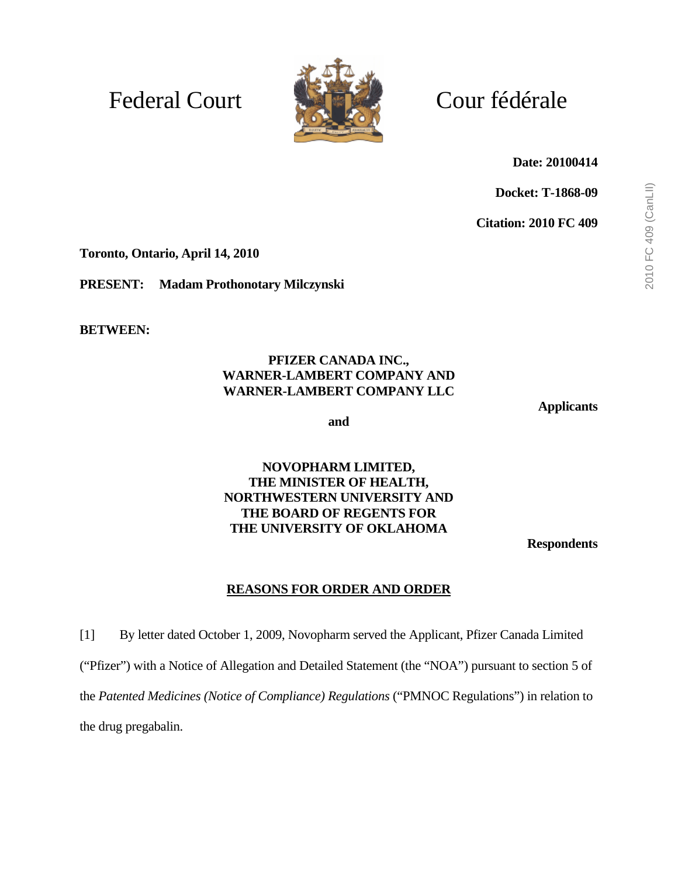# Federal Court Court Cour fédérale



**Date: 20100414** 

**Docket: T-1868-09** 

**Citation: 2010 FC 409** 

**Toronto, Ontario, April 14, 2010** 

**PRESENT: Madam Prothonotary Milczynski** 

**BETWEEN:** 

#### **PFIZER CANADA INC., WARNER-LAMBERT COMPANY AND WARNER-LAMBERT COMPANY LLC**

**Applicants** 

**and** 

#### **NOVOPHARM LIMITED, THE MINISTER OF HEALTH, NORTHWESTERN UNIVERSITY AND THE BOARD OF REGENTS FOR THE UNIVERSITY OF OKLAHOMA**

**Respondents** 

#### **REASONS FOR ORDER AND ORDER**

[1] By letter dated October 1, 2009, Novopharm served the Applicant, Pfizer Canada Limited ("Pfizer") with a Notice of Allegation and Detailed Statement (the "NOA") pursuant to section 5 of the *Patented Medicines (Notice of Compliance) Regulations* ("PMNOC Regulations") in relation to the drug pregabalin.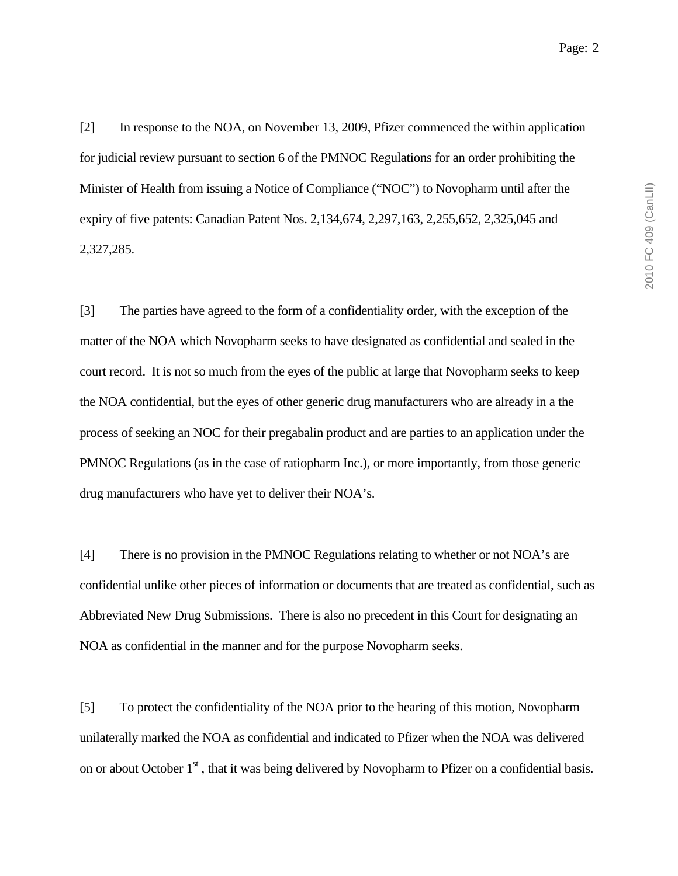[2] In response to the NOA, on November 13, 2009, Pfizer commenced the within application for judicial review pursuant to section 6 of the PMNOC Regulations for an order prohibiting the Minister of Health from issuing a Notice of Compliance ("NOC") to Novopharm until after the expiry of five patents: Canadian Patent Nos. 2,134,674, 2,297,163, 2,255,652, 2,325,045 and 2,327,285.

[3] The parties have agreed to the form of a confidentiality order, with the exception of the matter of the NOA which Novopharm seeks to have designated as confidential and sealed in the court record. It is not so much from the eyes of the public at large that Novopharm seeks to keep the NOA confidential, but the eyes of other generic drug manufacturers who are already in a the process of seeking an NOC for their pregabalin product and are parties to an application under the PMNOC Regulations (as in the case of ratiopharm Inc.), or more importantly, from those generic drug manufacturers who have yet to deliver their NOA's.

[4] There is no provision in the PMNOC Regulations relating to whether or not NOA's are confidential unlike other pieces of information or documents that are treated as confidential, such as Abbreviated New Drug Submissions. There is also no precedent in this Court for designating an NOA as confidential in the manner and for the purpose Novopharm seeks.

[5] To protect the confidentiality of the NOA prior to the hearing of this motion, Novopharm unilaterally marked the NOA as confidential and indicated to Pfizer when the NOA was delivered on or about October 1<sup>st</sup>, that it was being delivered by Novopharm to Pfizer on a confidential basis.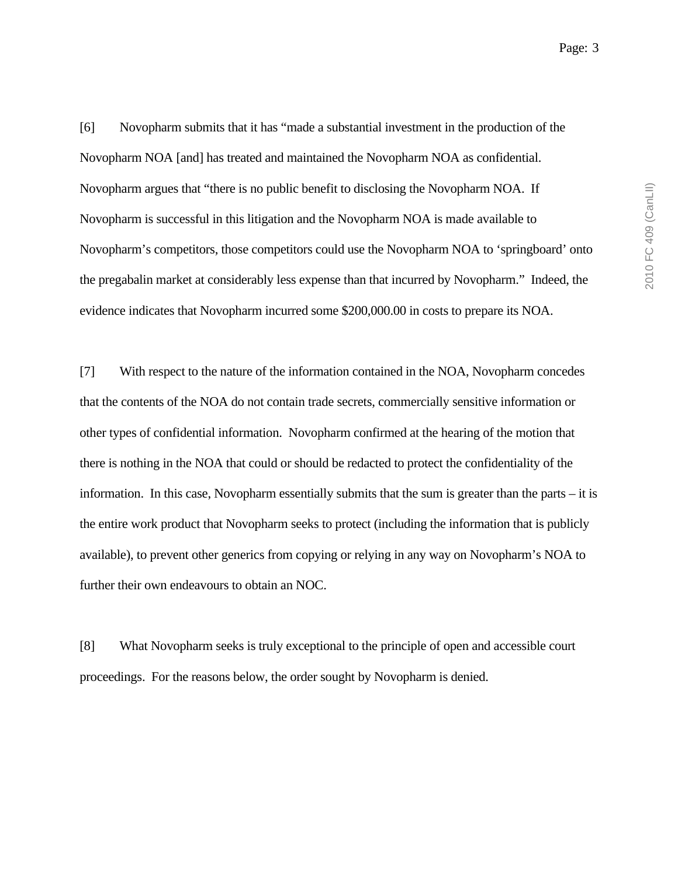2010 FC 409 (CanLII) 2010 FC 409 (CanLII)

[6] Novopharm submits that it has "made a substantial investment in the production of the Novopharm NOA [and] has treated and maintained the Novopharm NOA as confidential. Novopharm argues that "there is no public benefit to disclosing the Novopharm NOA. If Novopharm is successful in this litigation and the Novopharm NOA is made available to Novopharm's competitors, those competitors could use the Novopharm NOA to 'springboard' onto the pregabalin market at considerably less expense than that incurred by Novopharm." Indeed, the evidence indicates that Novopharm incurred some \$200,000.00 in costs to prepare its NOA.

[7] With respect to the nature of the information contained in the NOA, Novopharm concedes that the contents of the NOA do not contain trade secrets, commercially sensitive information or other types of confidential information. Novopharm confirmed at the hearing of the motion that there is nothing in the NOA that could or should be redacted to protect the confidentiality of the information. In this case, Novopharm essentially submits that the sum is greater than the parts – it is the entire work product that Novopharm seeks to protect (including the information that is publicly available), to prevent other generics from copying or relying in any way on Novopharm's NOA to further their own endeavours to obtain an NOC.

[8] What Novopharm seeks is truly exceptional to the principle of open and accessible court proceedings. For the reasons below, the order sought by Novopharm is denied.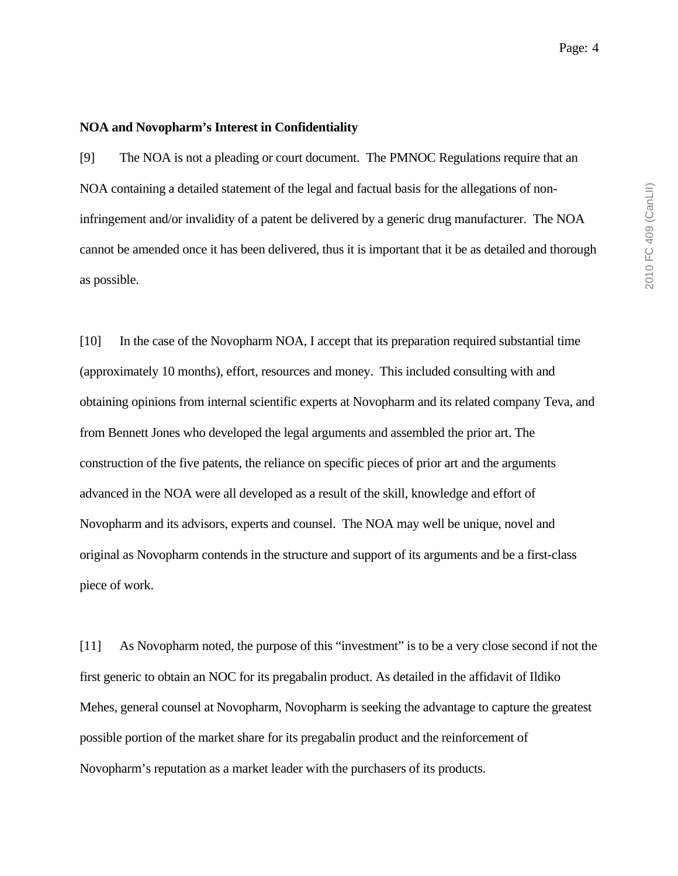#### **NOA and Novopharm's Interest in Confidentiality**

[9] The NOA is not a pleading or court document. The PMNOC Regulations require that an NOA containing a detailed statement of the legal and factual basis for the allegations of noninfringement and/or invalidity of a patent be delivered by a generic drug manufacturer. The NOA cannot be amended once it has been delivered, thus it is important that it be as detailed and thorough as possible.

[10] In the case of the Novopharm NOA, I accept that its preparation required substantial time (approximately 10 months), effort, resources and money. This included consulting with and obtaining opinions from internal scientific experts at Novopharm and its related company Teva, and from Bennett Jones who developed the legal arguments and assembled the prior art. The construction of the five patents, the reliance on specific pieces of prior art and the arguments advanced in the NOA were all developed as a result of the skill, knowledge and effort of Novopharm and its advisors, experts and counsel. The NOA may well be unique, novel and original as Novopharm contends in the structure and support of its arguments and be a first-class piece of work.

[11] As Novopharm noted, the purpose of this "investment" is to be a very close second if not the first generic to obtain an NOC for its pregabalin product. As detailed in the affidavit of Ildiko Mehes, general counsel at Novopharm, Novopharm is seeking the advantage to capture the greatest possible portion of the market share for its pregabalin product and the reinforcement of Novopharm's reputation as a market leader with the purchasers of its products.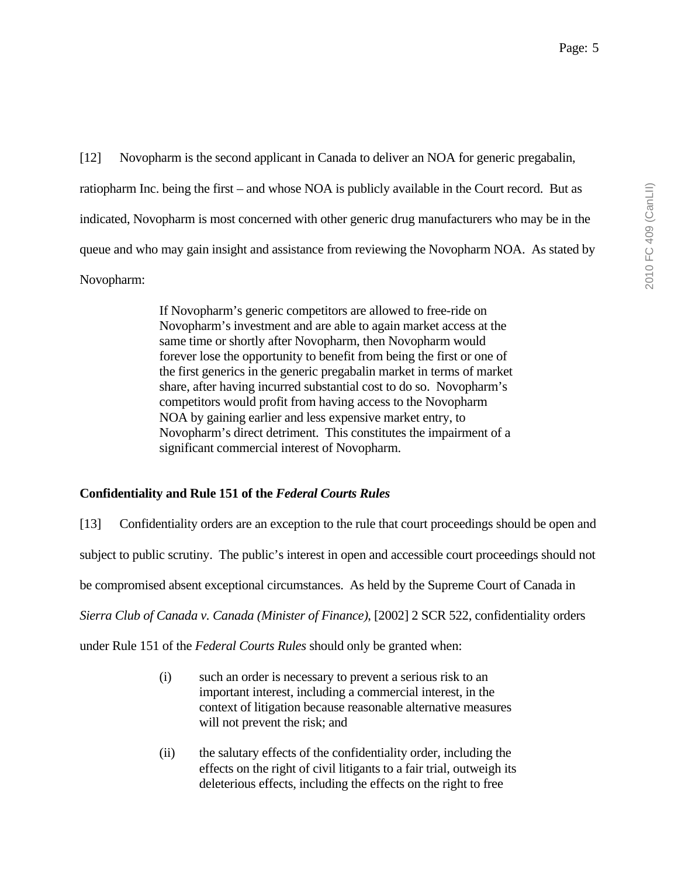[12] Novopharm is the second applicant in Canada to deliver an NOA for generic pregabalin, ratiopharm Inc. being the first – and whose NOA is publicly available in the Court record. But as indicated, Novopharm is most concerned with other generic drug manufacturers who may be in the queue and who may gain insight and assistance from reviewing the Novopharm NOA. As stated by Novopharm:

> If Novopharm's generic competitors are allowed to free-ride on Novopharm's investment and are able to again market access at the same time or shortly after Novopharm, then Novopharm would forever lose the opportunity to benefit from being the first or one of the first generics in the generic pregabalin market in terms of market share, after having incurred substantial cost to do so. Novopharm's competitors would profit from having access to the Novopharm NOA by gaining earlier and less expensive market entry, to Novopharm's direct detriment. This constitutes the impairment of a significant commercial interest of Novopharm.

#### **Confidentiality and Rule 151 of the** *Federal Courts Rules*

[13] Confidentiality orders are an exception to the rule that court proceedings should be open and subject to public scrutiny. The public's interest in open and accessible court proceedings should not be compromised absent exceptional circumstances. As held by the Supreme Court of Canada in *Sierra Club of Canada v. Canada (Minister of Finance)*, [2002] 2 SCR 522, confidentiality orders

under Rule 151 of the *Federal Courts Rules* should only be granted when:

- (i) such an order is necessary to prevent a serious risk to an important interest, including a commercial interest, in the context of litigation because reasonable alternative measures will not prevent the risk; and
- (ii) the salutary effects of the confidentiality order, including the effects on the right of civil litigants to a fair trial, outweigh its deleterious effects, including the effects on the right to free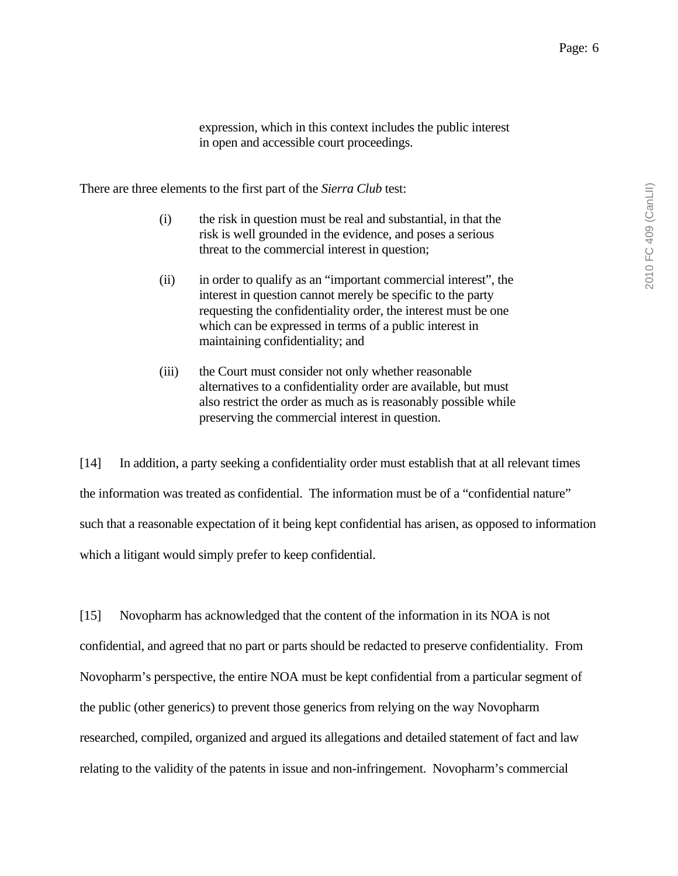2010 FC 409 (CanLII) 2010 FC 409 (CanLII)

expression, which in this context includes the public interest in open and accessible court proceedings.

There are three elements to the first part of the *Sierra Club* test:

- (i) the risk in question must be real and substantial, in that the risk is well grounded in the evidence, and poses a serious threat to the commercial interest in question;
- (ii) in order to qualify as an "important commercial interest", the interest in question cannot merely be specific to the party requesting the confidentiality order, the interest must be one which can be expressed in terms of a public interest in maintaining confidentiality; and
- (iii) the Court must consider not only whether reasonable alternatives to a confidentiality order are available, but must also restrict the order as much as is reasonably possible while preserving the commercial interest in question.

[14] In addition, a party seeking a confidentiality order must establish that at all relevant times the information was treated as confidential. The information must be of a "confidential nature" such that a reasonable expectation of it being kept confidential has arisen, as opposed to information which a litigant would simply prefer to keep confidential.

[15] Novopharm has acknowledged that the content of the information in its NOA is not confidential, and agreed that no part or parts should be redacted to preserve confidentiality. From Novopharm's perspective, the entire NOA must be kept confidential from a particular segment of the public (other generics) to prevent those generics from relying on the way Novopharm researched, compiled, organized and argued its allegations and detailed statement of fact and law relating to the validity of the patents in issue and non-infringement. Novopharm's commercial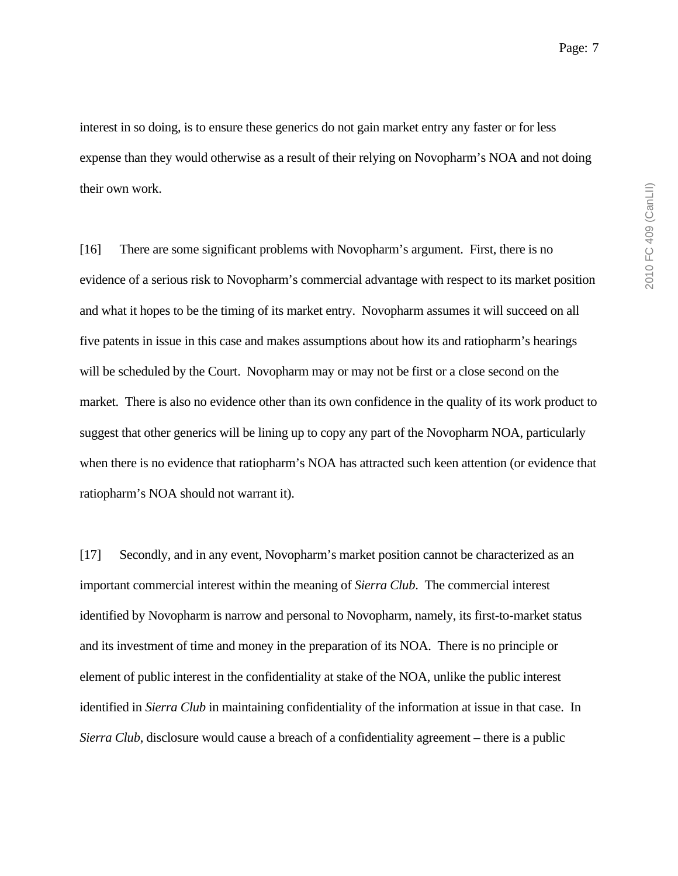interest in so doing, is to ensure these generics do not gain market entry any faster or for less expense than they would otherwise as a result of their relying on Novopharm's NOA and not doing their own work.

[16] There are some significant problems with Novopharm's argument. First, there is no evidence of a serious risk to Novopharm's commercial advantage with respect to its market position and what it hopes to be the timing of its market entry. Novopharm assumes it will succeed on all five patents in issue in this case and makes assumptions about how its and ratiopharm's hearings will be scheduled by the Court. Novopharm may or may not be first or a close second on the market. There is also no evidence other than its own confidence in the quality of its work product to suggest that other generics will be lining up to copy any part of the Novopharm NOA, particularly when there is no evidence that ratiopharm's NOA has attracted such keen attention (or evidence that ratiopharm's NOA should not warrant it).

[17] Secondly, and in any event, Novopharm's market position cannot be characterized as an important commercial interest within the meaning of *Sierra Club*. The commercial interest identified by Novopharm is narrow and personal to Novopharm, namely, its first-to-market status and its investment of time and money in the preparation of its NOA. There is no principle or element of public interest in the confidentiality at stake of the NOA, unlike the public interest identified in *Sierra Club* in maintaining confidentiality of the information at issue in that case. In *Sierra Club*, disclosure would cause a breach of a confidentiality agreement – there is a public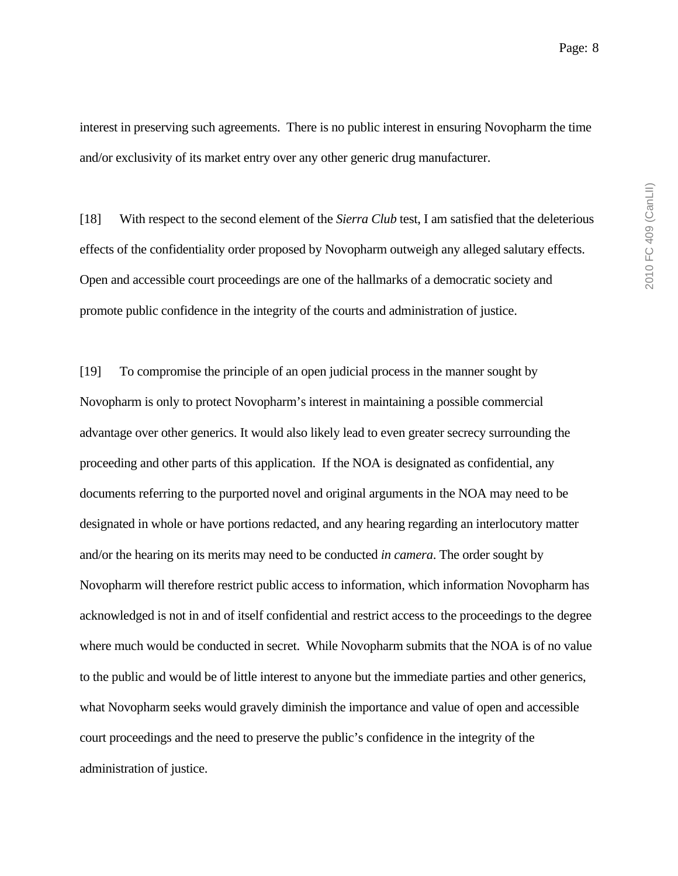interest in preserving such agreements. There is no public interest in ensuring Novopharm the time and/or exclusivity of its market entry over any other generic drug manufacturer.

[18] With respect to the second element of the *Sierra Club* test, I am satisfied that the deleterious effects of the confidentiality order proposed by Novopharm outweigh any alleged salutary effects. Open and accessible court proceedings are one of the hallmarks of a democratic society and promote public confidence in the integrity of the courts and administration of justice.

[19] To compromise the principle of an open judicial process in the manner sought by Novopharm is only to protect Novopharm's interest in maintaining a possible commercial advantage over other generics. It would also likely lead to even greater secrecy surrounding the proceeding and other parts of this application. If the NOA is designated as confidential, any documents referring to the purported novel and original arguments in the NOA may need to be designated in whole or have portions redacted, and any hearing regarding an interlocutory matter and/or the hearing on its merits may need to be conducted *in camera*. The order sought by Novopharm will therefore restrict public access to information, which information Novopharm has acknowledged is not in and of itself confidential and restrict access to the proceedings to the degree where much would be conducted in secret. While Novopharm submits that the NOA is of no value to the public and would be of little interest to anyone but the immediate parties and other generics, what Novopharm seeks would gravely diminish the importance and value of open and accessible court proceedings and the need to preserve the public's confidence in the integrity of the administration of justice.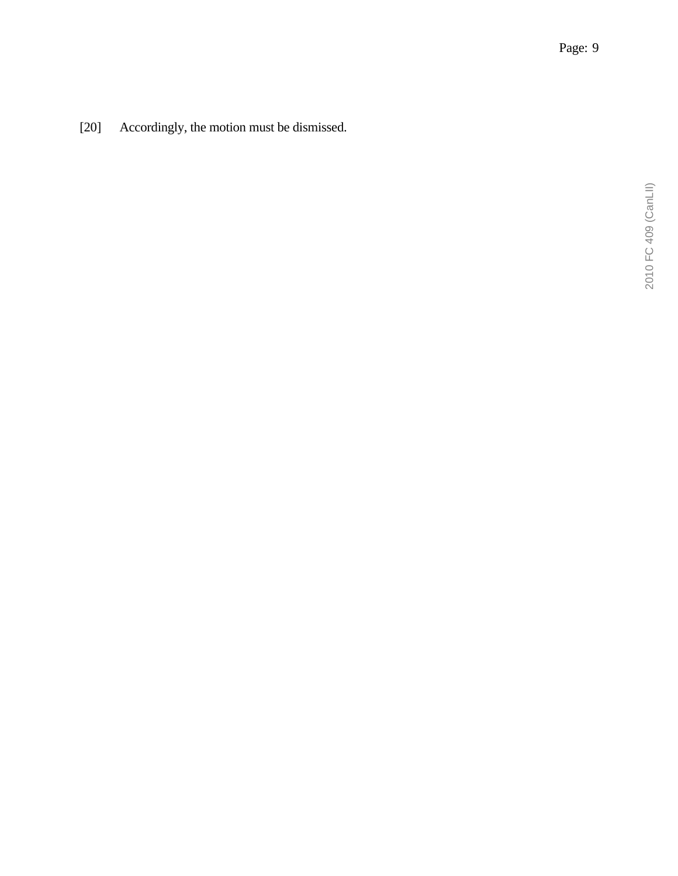[20] Accordingly, the motion must be dismissed.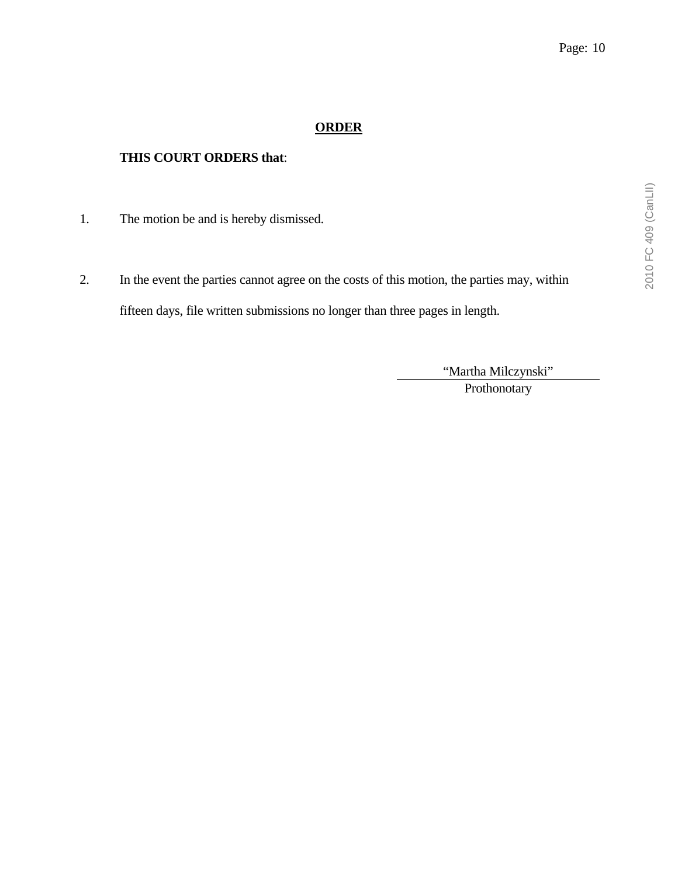#### **ORDER**

#### **THIS COURT ORDERS that**:

- 1. The motion be and is hereby dismissed.
- 2. In the event the parties cannot agree on the costs of this motion, the parties may, within fifteen days, file written submissions no longer than three pages in length.

"Martha Milczynski"

Prothonotary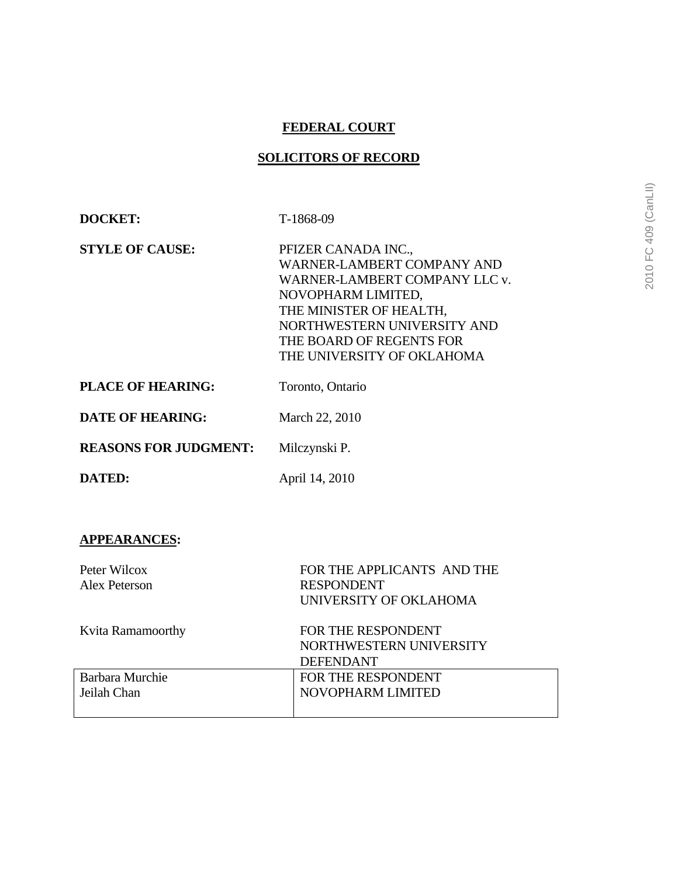#### **FEDERAL COURT**

#### **SOLICITORS OF RECORD**

| DOCKET:                      | T-1868-09                                                                                                                                                                                                                    |
|------------------------------|------------------------------------------------------------------------------------------------------------------------------------------------------------------------------------------------------------------------------|
| <b>STYLE OF CAUSE:</b>       | PFIZER CANADA INC.,<br>WARNER-LAMBERT COMPANY AND<br>WARNER-LAMBERT COMPANY LLC v.<br>NOVOPHARM LIMITED,<br>THE MINISTER OF HEALTH,<br>NORTHWESTERN UNIVERSITY AND<br>THE BOARD OF REGENTS FOR<br>THE UNIVERSITY OF OKLAHOMA |
| <b>PLACE OF HEARING:</b>     | Toronto, Ontario                                                                                                                                                                                                             |
| <b>DATE OF HEARING:</b>      | March 22, 2010                                                                                                                                                                                                               |
| <b>REASONS FOR JUDGMENT:</b> | Milczynski P.                                                                                                                                                                                                                |
| DATED:                       | April 14, 2010                                                                                                                                                                                                               |

### **APPEARANCES:**

| Peter Wilcox<br>Alex Peterson | FOR THE APPLICANTS AND THE<br><b>RESPONDENT</b><br>UNIVERSITY OF OKLAHOMA |
|-------------------------------|---------------------------------------------------------------------------|
| Kvita Ramamoorthy             | FOR THE RESPONDENT<br>NORTHWESTERN UNIVERSITY<br><b>DEFENDANT</b>         |
| Barbara Murchie               | FOR THE RESPONDENT                                                        |
| Jeilah Chan                   | NOVOPHARM LIMITED                                                         |
|                               |                                                                           |